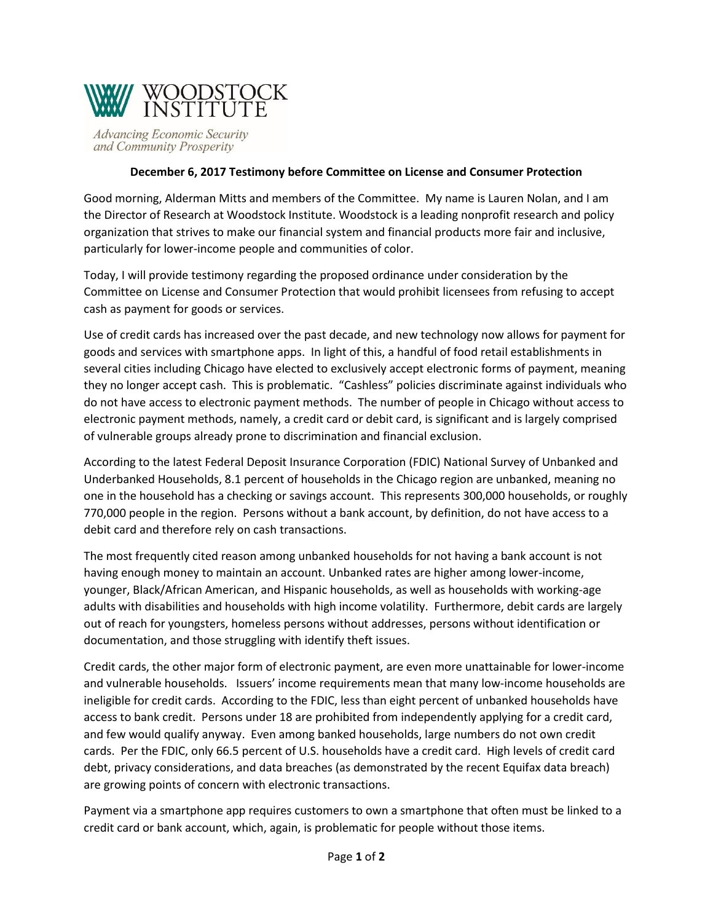

**Advancing Economic Security** and Community Prosperity

## **December 6, 2017 Testimony before Committee on License and Consumer Protection**

Good morning, Alderman Mitts and members of the Committee. My name is Lauren Nolan, and I am the Director of Research at Woodstock Institute. Woodstock is a leading nonprofit research and policy organization that strives to make our financial system and financial products more fair and inclusive, particularly for lower-income people and communities of color.

Today, I will provide testimony regarding the proposed ordinance under consideration by the Committee on License and Consumer Protection that would prohibit licensees from refusing to accept cash as payment for goods or services.

Use of credit cards has increased over the past decade, and new technology now allows for payment for goods and services with smartphone apps. In light of this, a handful of food retail establishments in several cities including Chicago have elected to exclusively accept electronic forms of payment, meaning they no longer accept cash. This is problematic. "Cashless" policies discriminate against individuals who do not have access to electronic payment methods. The number of people in Chicago without access to electronic payment methods, namely, a credit card or debit card, is significant and is largely comprised of vulnerable groups already prone to discrimination and financial exclusion.

According to the latest Federal Deposit Insurance Corporation (FDIC) National Survey of Unbanked and Underbanked Households, 8.1 percent of households in the Chicago region are unbanked, meaning no one in the household has a checking or savings account. This represents 300,000 households, or roughly 770,000 people in the region. Persons without a bank account, by definition, do not have access to a debit card and therefore rely on cash transactions.

The most frequently cited reason among unbanked households for not having a bank account is not having enough money to maintain an account. Unbanked rates are higher among lower-income, younger, Black/African American, and Hispanic households, as well as households with working-age adults with disabilities and households with high income volatility. Furthermore, debit cards are largely out of reach for youngsters, homeless persons without addresses, persons without identification or documentation, and those struggling with identify theft issues.

Credit cards, the other major form of electronic payment, are even more unattainable for lower-income and vulnerable households. Issuers' income requirements mean that many low-income households are ineligible for credit cards. According to the FDIC, less than eight percent of unbanked households have access to bank credit. Persons under 18 are prohibited from independently applying for a credit card, and few would qualify anyway. Even among banked households, large numbers do not own credit cards. Per the FDIC, only 66.5 percent of U.S. households have a credit card. High levels of credit card debt, privacy considerations, and data breaches (as demonstrated by the recent Equifax data breach) are growing points of concern with electronic transactions.

Payment via a smartphone app requires customers to own a smartphone that often must be linked to a credit card or bank account, which, again, is problematic for people without those items.